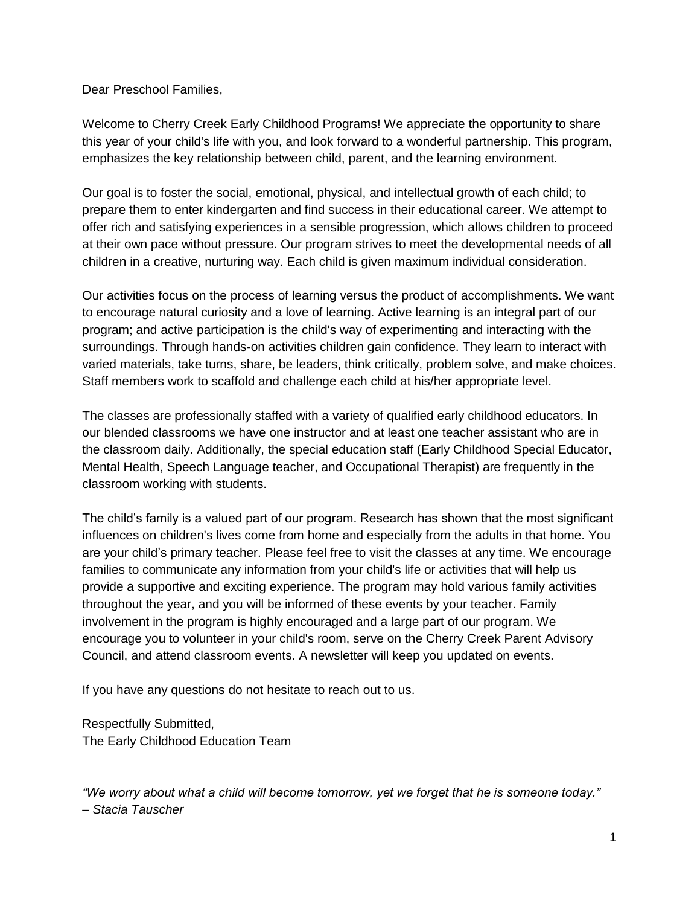Dear Preschool Families,

Welcome to Cherry Creek Early Childhood Programs! We appreciate the opportunity to share this year of your child's life with you, and look forward to a wonderful partnership. This program, emphasizes the key relationship between child, parent, and the learning environment.

Our goal is to foster the social, emotional, physical, and intellectual growth of each child; to prepare them to enter kindergarten and find success in their educational career. We attempt to offer rich and satisfying experiences in a sensible progression, which allows children to proceed at their own pace without pressure. Our program strives to meet the developmental needs of all children in a creative, nurturing way. Each child is given maximum individual consideration.

Our activities focus on the process of learning versus the product of accomplishments. We want to encourage natural curiosity and a love of learning. Active learning is an integral part of our program; and active participation is the child's way of experimenting and interacting with the surroundings. Through hands-on activities children gain confidence. They learn to interact with varied materials, take turns, share, be leaders, think critically, problem solve, and make choices. Staff members work to scaffold and challenge each child at his/her appropriate level.

The classes are professionally staffed with a variety of qualified early childhood educators. In our blended classrooms we have one instructor and at least one teacher assistant who are in the classroom daily. Additionally, the special education staff (Early Childhood Special Educator, Mental Health, Speech Language teacher, and Occupational Therapist) are frequently in the classroom working with students.

The child's family is a valued part of our program. Research has shown that the most significant influences on children's lives come from home and especially from the adults in that home. You are your child's primary teacher. Please feel free to visit the classes at any time. We encourage families to communicate any information from your child's life or activities that will help us provide a supportive and exciting experience. The program may hold various family activities throughout the year, and you will be informed of these events by your teacher. Family involvement in the program is highly encouraged and a large part of our program. We encourage you to volunteer in your child's room, serve on the Cherry Creek Parent Advisory Council, and attend classroom events. A newsletter will keep you updated on events.

If you have any questions do not hesitate to reach out to us.

Respectfully Submitted, The Early Childhood Education Team

*"We worry about what a child will become tomorrow, yet we forget that he is someone today." – Stacia Tauscher*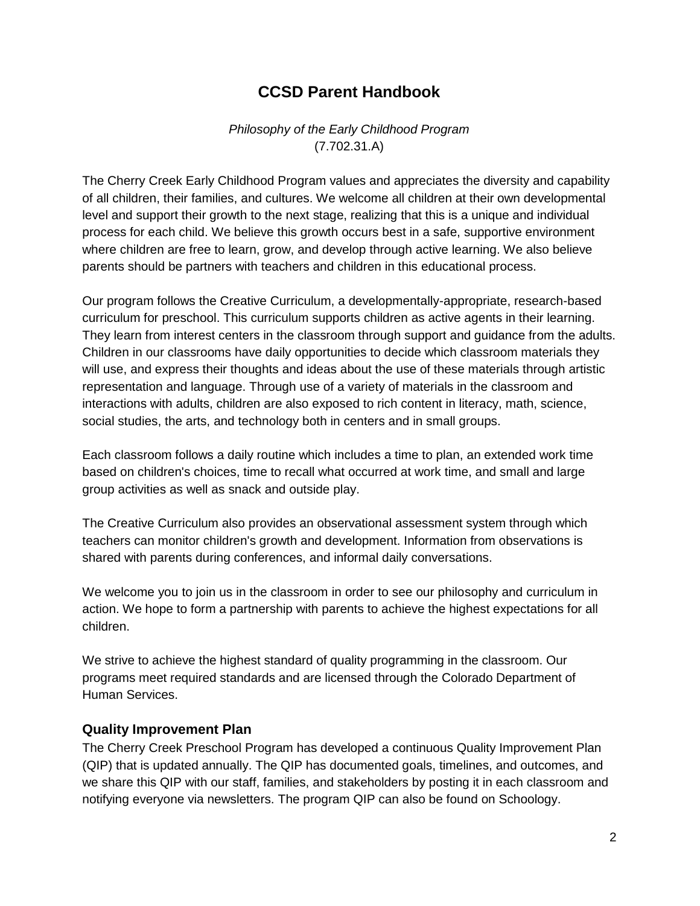## **CCSD Parent Handbook**

*Philosophy of the Early Childhood Program* (7.702.31.A)

The Cherry Creek Early Childhood Program values and appreciates the diversity and capability of all children, their families, and cultures. We welcome all children at their own developmental level and support their growth to the next stage, realizing that this is a unique and individual process for each child. We believe this growth occurs best in a safe, supportive environment where children are free to learn, grow, and develop through active learning. We also believe parents should be partners with teachers and children in this educational process.

Our program follows the Creative Curriculum, a developmentally-appropriate, research-based curriculum for preschool. This curriculum supports children as active agents in their learning. They learn from interest centers in the classroom through support and guidance from the adults. Children in our classrooms have daily opportunities to decide which classroom materials they will use, and express their thoughts and ideas about the use of these materials through artistic representation and language. Through use of a variety of materials in the classroom and interactions with adults, children are also exposed to rich content in literacy, math, science, social studies, the arts, and technology both in centers and in small groups.

Each classroom follows a daily routine which includes a time to plan, an extended work time based on children's choices, time to recall what occurred at work time, and small and large group activities as well as snack and outside play.

The Creative Curriculum also provides an observational assessment system through which teachers can monitor children's growth and development. Information from observations is shared with parents during conferences, and informal daily conversations.

We welcome you to join us in the classroom in order to see our philosophy and curriculum in action. We hope to form a partnership with parents to achieve the highest expectations for all children.

We strive to achieve the highest standard of quality programming in the classroom. Our programs meet required standards and are licensed through the Colorado Department of Human Services.

#### **Quality Improvement Plan**

The Cherry Creek Preschool Program has developed a continuous Quality Improvement Plan (QIP) that is updated annually. The QIP has documented goals, timelines, and outcomes, and we share this QIP with our staff, families, and stakeholders by posting it in each classroom and notifying everyone via newsletters. The program QIP can also be found on Schoology.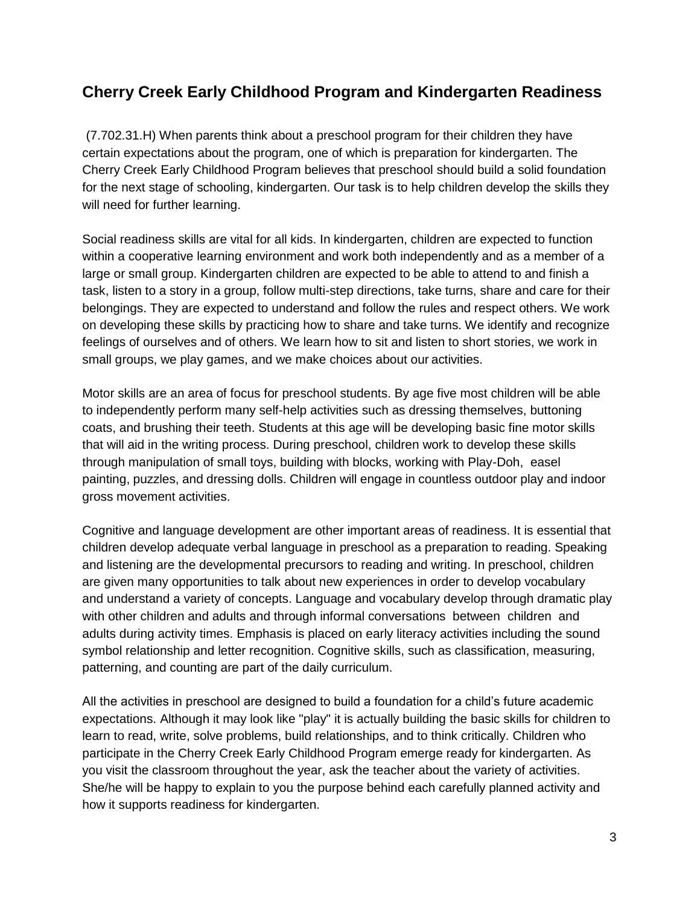## **Cherry Creek Early Childhood Program and Kindergarten Readiness**

(7.702.31.H) When parents think about a preschool program for their children they have certain expectations about the program, one of which is preparation for kindergarten. The Cherry Creek Early Childhood Program believes that preschool should build a solid foundation for the next stage of schooling, kindergarten. Our task is to help children develop the skills they will need for further learning.

Social readiness skills are vital for all kids. In kindergarten, children are expected to function within a cooperative learning environment and work both independently and as a member of a large or small group. Kindergarten children are expected to be able to attend to and finish a task, listen to a story in a group, follow multi-step directions, take turns, share and care for their belongings. They are expected to understand and follow the rules and respect others. We work on developing these skills by practicing how to share and take turns. We identify and recognize feelings of ourselves and of others. We learn how to sit and listen to short stories, we work in small groups, we play games, and we make choices about our activities.

Motor skills are an area of focus for preschool students. By age five most children will be able to independently perform many self-help activities such as dressing themselves, buttoning coats, and brushing their teeth. Students at this age will be developing basic fine motor skills that will aid in the writing process. During preschool, children work to develop these skills through manipulation of small toys, building with blocks, working with Play-Doh, easel painting, puzzles, and dressing dolls. Children will engage in countless outdoor play and indoor gross movement activities.

Cognitive and language development are other important areas of readiness. It is essential that children develop adequate verbal language in preschool as a preparation to reading. Speaking and listening are the developmental precursors to reading and writing. In preschool, children are given many opportunities to talk about new experiences in order to develop vocabulary and understand a variety of concepts. Language and vocabulary develop through dramatic play with other children and adults and through informal conversations between children and adults during activity times. Emphasis is placed on early literacy activities including the sound symbol relationship and letter recognition. Cognitive skills, such as classification, measuring, patterning, and counting are part of the daily curriculum.

All the activities in preschool are designed to build a foundation for a child's future academic expectations. Although it may look like "play" it is actually building the basic skills for children to learn to read, write, solve problems, build relationships, and to think critically. Children who participate in the Cherry Creek Early Childhood Program emerge ready for kindergarten. As you visit the classroom throughout the year, ask the teacher about the variety of activities. She/he will be happy to explain to you the purpose behind each carefully planned activity and how it supports readiness for kindergarten.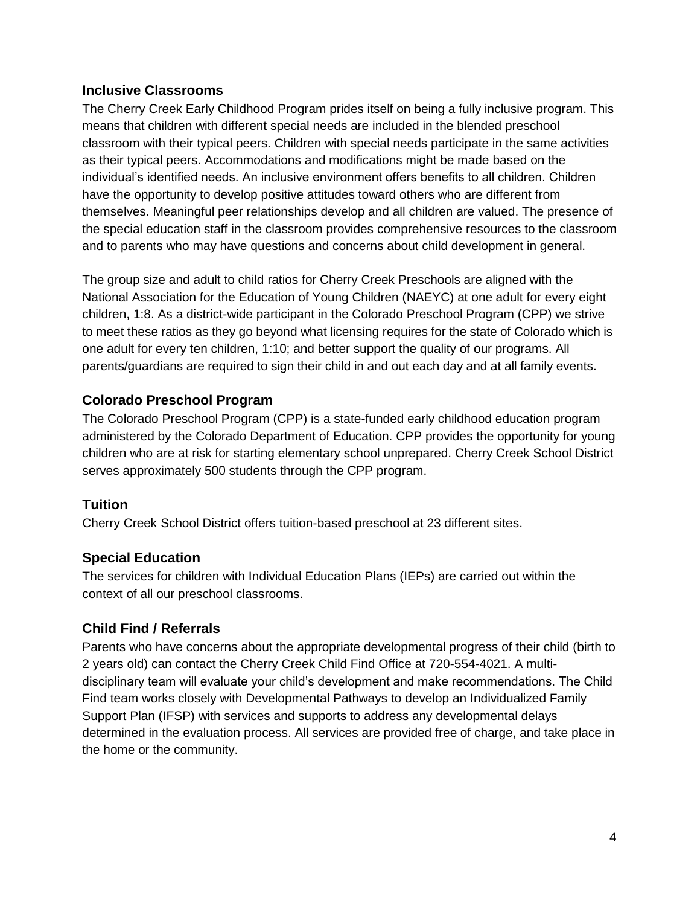#### **Inclusive Classrooms**

The Cherry Creek Early Childhood Program prides itself on being a fully inclusive program. This means that children with different special needs are included in the blended preschool classroom with their typical peers. Children with special needs participate in the same activities as their typical peers. Accommodations and modifications might be made based on the individual's identified needs. An inclusive environment offers benefits to all children. Children have the opportunity to develop positive attitudes toward others who are different from themselves. Meaningful peer relationships develop and all children are valued. The presence of the special education staff in the classroom provides comprehensive resources to the classroom and to parents who may have questions and concerns about child development in general.

The group size and adult to child ratios for Cherry Creek Preschools are aligned with the National Association for the Education of Young Children (NAEYC) at one adult for every eight children, 1:8. As a district-wide participant in the Colorado Preschool Program (CPP) we strive to meet these ratios as they go beyond what licensing requires for the state of Colorado which is one adult for every ten children, 1:10; and better support the quality of our programs. All parents/guardians are required to sign their child in and out each day and at all family events.

## **Colorado Preschool Program**

The Colorado Preschool Program (CPP) is a state-funded early childhood education program administered by the Colorado Department of Education. CPP provides the opportunity for young children who are at risk for starting elementary school unprepared. Cherry Creek School District serves approximately 500 students through the CPP program.

## **Tuition**

Cherry Creek School District offers tuition-based preschool at 23 different sites.

## **Special Education**

The services for children with Individual Education Plans (IEPs) are carried out within the context of all our preschool classrooms.

## **Child Find / Referrals**

Parents who have concerns about the appropriate developmental progress of their child (birth to 2 years old) can contact the Cherry Creek Child Find Office at 720-554-4021. A multidisciplinary team will evaluate your child's development and make recommendations. The Child Find team works closely with Developmental Pathways to develop an Individualized Family Support Plan (IFSP) with services and supports to address any developmental delays determined in the evaluation process. All services are provided free of charge, and take place in the home or the community.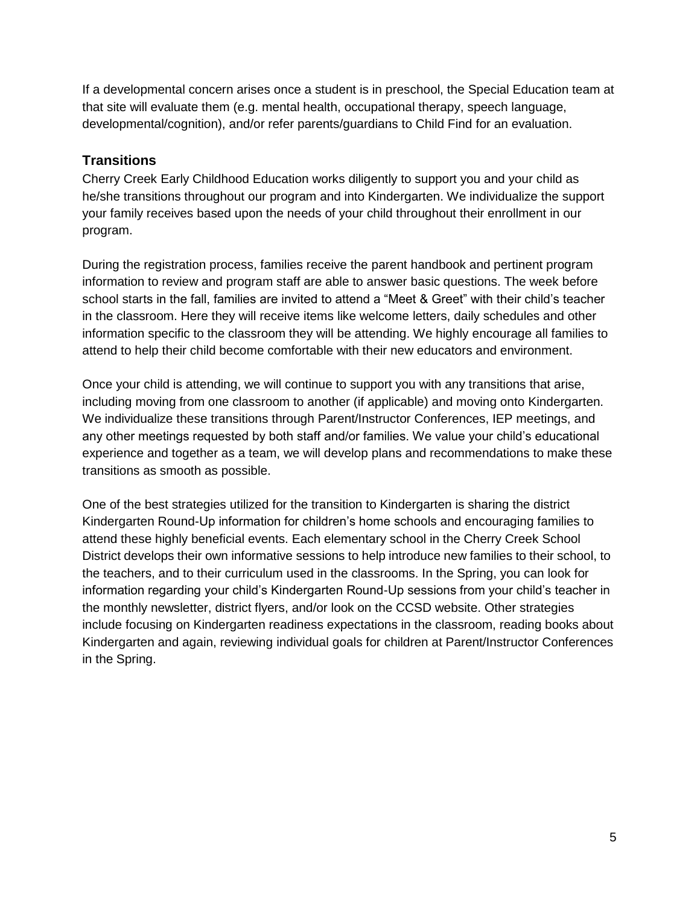If a developmental concern arises once a student is in preschool, the Special Education team at that site will evaluate them (e.g. mental health, occupational therapy, speech language, developmental/cognition), and/or refer parents/guardians to Child Find for an evaluation.

## **Transitions**

Cherry Creek Early Childhood Education works diligently to support you and your child as he/she transitions throughout our program and into Kindergarten. We individualize the support your family receives based upon the needs of your child throughout their enrollment in our program.

During the registration process, families receive the parent handbook and pertinent program information to review and program staff are able to answer basic questions. The week before school starts in the fall, families are invited to attend a "Meet & Greet" with their child's teacher in the classroom. Here they will receive items like welcome letters, daily schedules and other information specific to the classroom they will be attending. We highly encourage all families to attend to help their child become comfortable with their new educators and environment.

Once your child is attending, we will continue to support you with any transitions that arise, including moving from one classroom to another (if applicable) and moving onto Kindergarten. We individualize these transitions through Parent/Instructor Conferences, IEP meetings, and any other meetings requested by both staff and/or families. We value your child's educational experience and together as a team, we will develop plans and recommendations to make these transitions as smooth as possible.

One of the best strategies utilized for the transition to Kindergarten is sharing the district Kindergarten Round-Up information for children's home schools and encouraging families to attend these highly beneficial events. Each elementary school in the Cherry Creek School District develops their own informative sessions to help introduce new families to their school, to the teachers, and to their curriculum used in the classrooms. In the Spring, you can look for information regarding your child's Kindergarten Round-Up sessions from your child's teacher in the monthly newsletter, district flyers, and/or look on the CCSD website. Other strategies include focusing on Kindergarten readiness expectations in the classroom, reading books about Kindergarten and again, reviewing individual goals for children at Parent/Instructor Conferences in the Spring.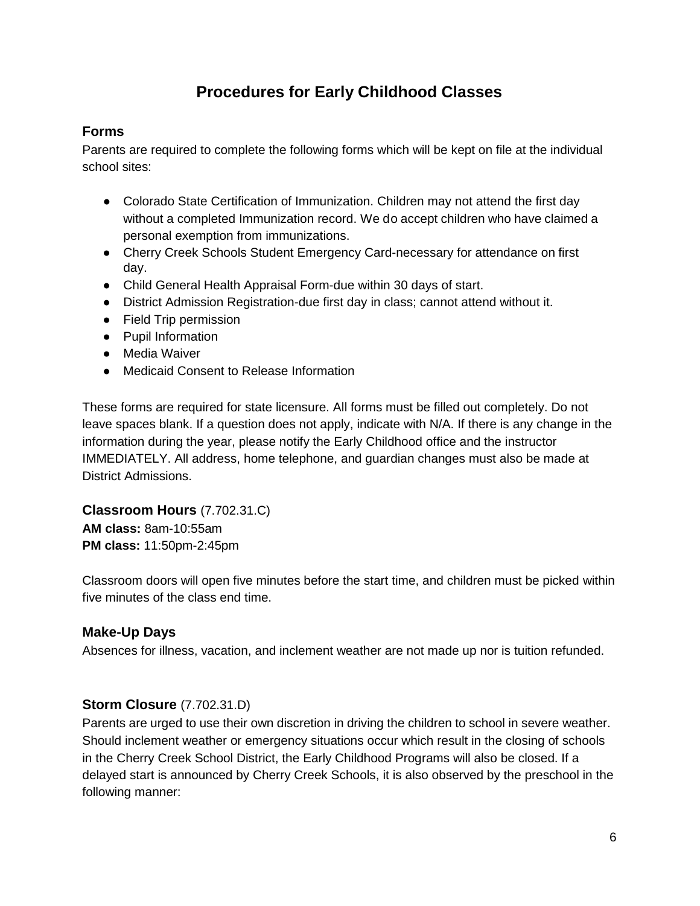# **Procedures for Early Childhood Classes**

#### **Forms**

Parents are required to complete the following forms which will be kept on file at the individual school sites:

- Colorado State Certification of Immunization. Children may not attend the first day without a completed Immunization record. We do accept children who have claimed a personal exemption from immunizations.
- Cherry Creek Schools Student Emergency Card-necessary for attendance on first day.
- Child General Health Appraisal Form-due within 30 days of start.
- District Admission Registration-due first day in class; cannot attend without it.
- Field Trip permission
- Pupil Information
- Media Waiver
- Medicaid Consent to Release Information

These forms are required for state licensure. All forms must be filled out completely. Do not leave spaces blank. If a question does not apply, indicate with N/A. If there is any change in the information during the year, please notify the Early Childhood office and the instructor IMMEDIATELY. All address, home telephone, and guardian changes must also be made at District Admissions.

**Classroom Hours** (7.702.31.C) **AM class:** 8am-10:55am **PM class:** 11:50pm-2:45pm

Classroom doors will open five minutes before the start time, and children must be picked within five minutes of the class end time.

## **Make-Up Days**

Absences for illness, vacation, and inclement weather are not made up nor is tuition refunded.

## **Storm Closure** (7.702.31.D)

Parents are urged to use their own discretion in driving the children to school in severe weather. Should inclement weather or emergency situations occur which result in the closing of schools in the Cherry Creek School District, the Early Childhood Programs will also be closed. If a delayed start is announced by Cherry Creek Schools, it is also observed by the preschool in the following manner: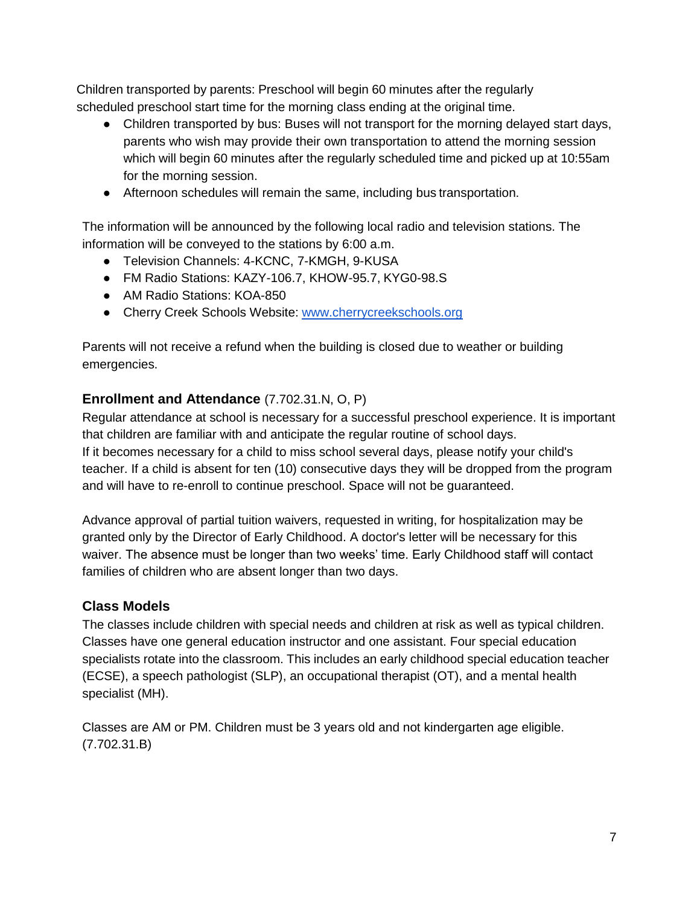Children transported by parents: Preschool will begin 60 minutes after the regularly scheduled preschool start time for the morning class ending at the original time.

- Children transported by bus: Buses will not transport for the morning delayed start days, parents who wish may provide their own transportation to attend the morning session which will begin 60 minutes after the regularly scheduled time and picked up at 10:55am for the morning session.
- Afternoon schedules will remain the same, including bus transportation.

The information will be announced by the following local radio and television stations. The information will be conveyed to the stations by 6:00 a.m.

- Television Channels: 4-KCNC, 7-KMGH, 9-KUSA
- FM Radio Stations: KAZY-106.7, KHOW-95.7, KYG0-98.S
- AM Radio Stations: KOA-850
- Cherry Creek Schools Website: [www.cherrycreekschools.org](http://www.cherrycreekschools.org/)

Parents will not receive a refund when the building is closed due to weather or building emergencies.

## **Enrollment and Attendance** (7.702.31.N, O, P)

Regular attendance at school is necessary for a successful preschool experience. It is important that children are familiar with and anticipate the regular routine of school days. If it becomes necessary for a child to miss school several days, please notify your child's teacher. If a child is absent for ten (10) consecutive days they will be dropped from the program

and will have to re-enroll to continue preschool. Space will not be guaranteed.

Advance approval of partial tuition waivers, requested in writing, for hospitalization may be granted only by the Director of Early Childhood. A doctor's letter will be necessary for this waiver. The absence must be longer than two weeks' time. Early Childhood staff will contact families of children who are absent longer than two days.

## **Class Models**

The classes include children with special needs and children at risk as well as typical children. Classes have one general education instructor and one assistant. Four special education specialists rotate into the classroom. This includes an early childhood special education teacher (ECSE), a speech pathologist (SLP), an occupational therapist (OT), and a mental health specialist (MH).

Classes are AM or PM. Children must be 3 years old and not kindergarten age eligible. (7.702.31.B)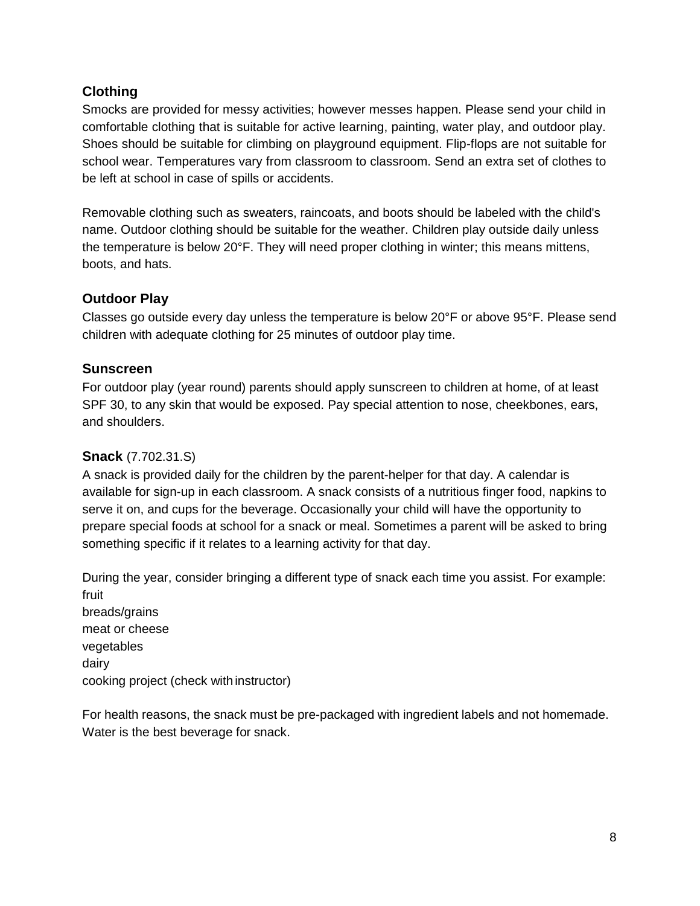## **Clothing**

Smocks are provided for messy activities; however messes happen. Please send your child in comfortable clothing that is suitable for active learning, painting, water play, and outdoor play. Shoes should be suitable for climbing on playground equipment. Flip-flops are not suitable for school wear. Temperatures vary from classroom to classroom. Send an extra set of clothes to be left at school in case of spills or accidents.

Removable clothing such as sweaters, raincoats, and boots should be labeled with the child's name. Outdoor clothing should be suitable for the weather. Children play outside daily unless the temperature is below 20°F. They will need proper clothing in winter; this means mittens, boots, and hats.

## **Outdoor Play**

Classes go outside every day unless the temperature is below 20°F or above 95°F. Please send children with adequate clothing for 25 minutes of outdoor play time.

## **Sunscreen**

For outdoor play (year round) parents should apply sunscreen to children at home, of at least SPF 30, to any skin that would be exposed. Pay special attention to nose, cheekbones, ears, and shoulders.

#### **Snack** (7.702.31.S)

A snack is provided daily for the children by the parent-helper for that day. A calendar is available for sign-up in each classroom. A snack consists of a nutritious finger food, napkins to serve it on, and cups for the beverage. Occasionally your child will have the opportunity to prepare special foods at school for a snack or meal. Sometimes a parent will be asked to bring something specific if it relates to a learning activity for that day.

During the year, consider bringing a different type of snack each time you assist. For example: fruit breads/grains meat or cheese

vegetables dairy cooking project (check withinstructor)

For health reasons, the snack must be pre-packaged with ingredient labels and not homemade. Water is the best beverage for snack.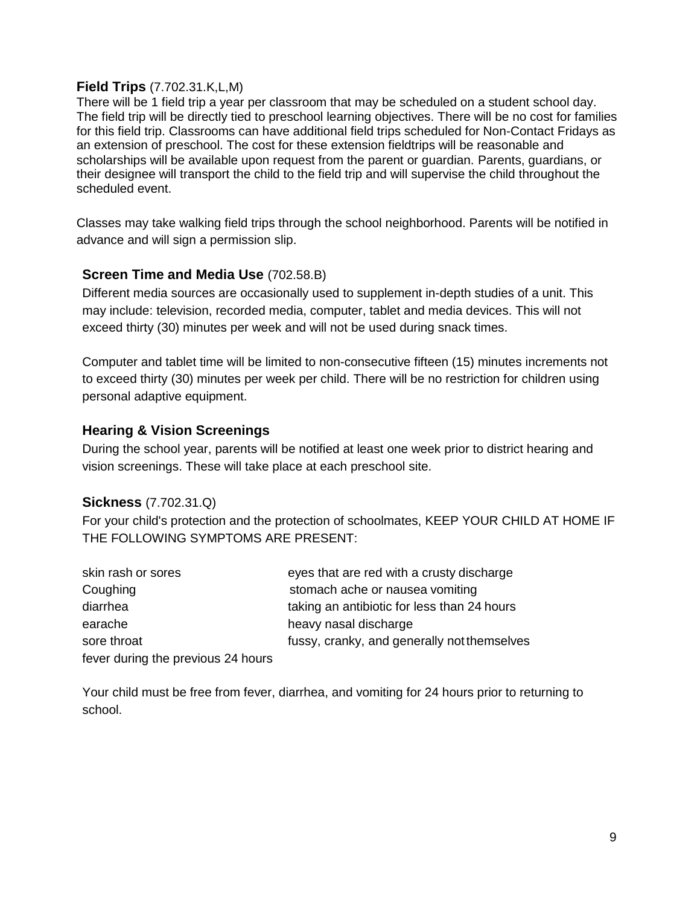#### **Field Trips** (7.702.31.K,L,M)

There will be 1 field trip a year per classroom that may be scheduled on a student school day. The field trip will be directly tied to preschool learning objectives. There will be no cost for families for this field trip. Classrooms can have additional field trips scheduled for Non-Contact Fridays as an extension of preschool. The cost for these extension fieldtrips will be reasonable and scholarships will be available upon request from the parent or guardian. Parents, guardians, or their designee will transport the child to the field trip and will supervise the child throughout the scheduled event.

Classes may take walking field trips through the school neighborhood. Parents will be notified in advance and will sign a permission slip.

#### **Screen Time and Media Use** (702.58.B)

Different media sources are occasionally used to supplement in-depth studies of a unit. This may include: television, recorded media, computer, tablet and media devices. This will not exceed thirty (30) minutes per week and will not be used during snack times.

Computer and tablet time will be limited to non-consecutive fifteen (15) minutes increments not to exceed thirty (30) minutes per week per child. There will be no restriction for children using personal adaptive equipment.

#### **Hearing & Vision Screenings**

During the school year, parents will be notified at least one week prior to district hearing and vision screenings. These will take place at each preschool site.

#### **Sickness** (7.702.31.Q)

For your child's protection and the protection of schoolmates, KEEP YOUR CHILD AT HOME IF THE FOLLOWING SYMPTOMS ARE PRESENT:

| skin rash or sores                 | eyes that are red with a crusty discharge   |
|------------------------------------|---------------------------------------------|
| Coughing                           | stomach ache or nausea vomiting             |
| diarrhea                           | taking an antibiotic for less than 24 hours |
| earache                            | heavy nasal discharge                       |
| sore throat                        | fussy, cranky, and generally not themselves |
| fever during the previous 24 hours |                                             |

Your child must be free from fever, diarrhea, and vomiting for 24 hours prior to returning to school.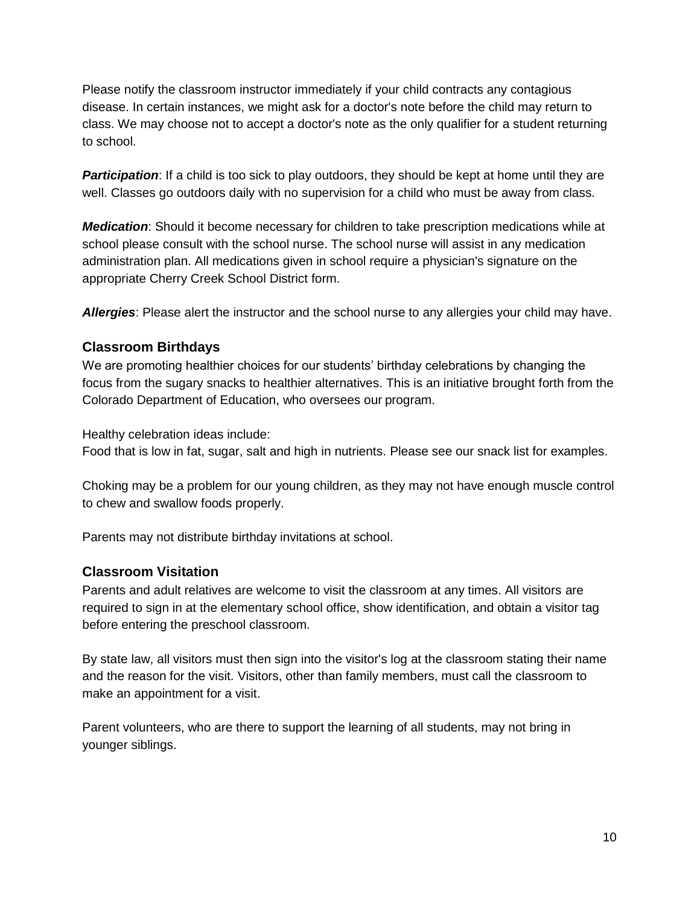Please notify the classroom instructor immediately if your child contracts any contagious disease. In certain instances, we might ask for a doctor's note before the child may return to class. We may choose not to accept a doctor's note as the only qualifier for a student returning to school.

**Participation**: If a child is too sick to play outdoors, they should be kept at home until they are well. Classes go outdoors daily with no supervision for a child who must be away from class.

*Medication*: Should it become necessary for children to take prescription medications while at school please consult with the school nurse. The school nurse will assist in any medication administration plan. All medications given in school require a physician's signature on the appropriate Cherry Creek School District form.

*Allergies*: Please alert the instructor and the school nurse to any allergies your child may have.

#### **Classroom Birthdays**

We are promoting healthier choices for our students' birthday celebrations by changing the focus from the sugary snacks to healthier alternatives. This is an initiative brought forth from the Colorado Department of Education, who oversees our program.

Healthy celebration ideas include:

Food that is low in fat, sugar, salt and high in nutrients. Please see our snack list for examples.

Choking may be a problem for our young children, as they may not have enough muscle control to chew and swallow foods properly.

Parents may not distribute birthday invitations at school.

## **Classroom Visitation**

Parents and adult relatives are welcome to visit the classroom at any times. All visitors are required to sign in at the elementary school office, show identification, and obtain a visitor tag before entering the preschool classroom.

By state law, all visitors must then sign into the visitor's log at the classroom stating their name and the reason for the visit. Visitors, other than family members, must call the classroom to make an appointment for a visit.

Parent volunteers, who are there to support the learning of all students, may not bring in younger siblings.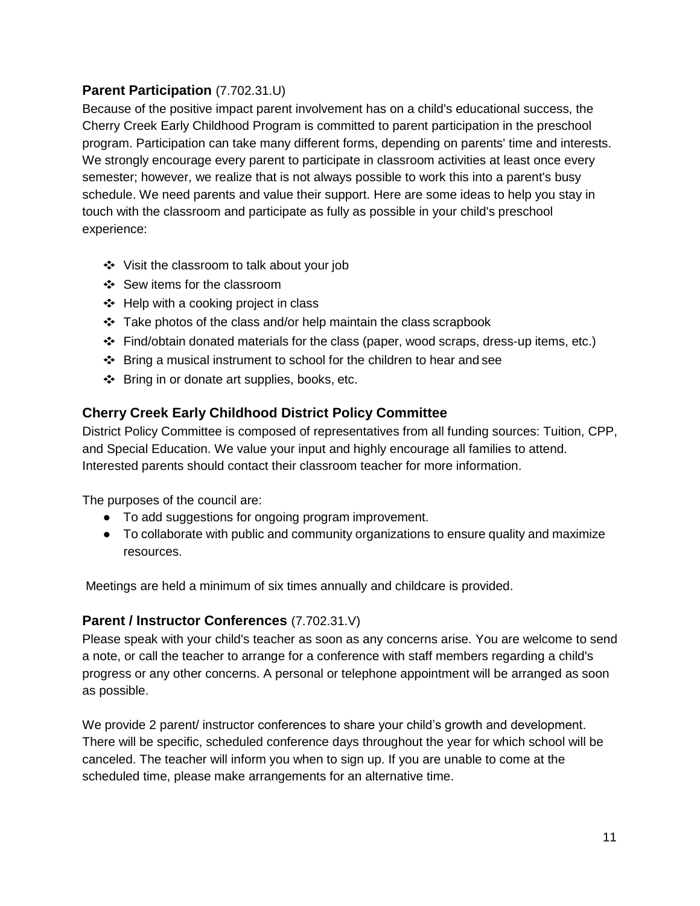## **Parent Participation** (7.702.31.U)

Because of the positive impact parent involvement has on a child's educational success, the Cherry Creek Early Childhood Program is committed to parent participation in the preschool program. Participation can take many different forms, depending on parents' time and interests. We strongly encourage every parent to participate in classroom activities at least once every semester; however, we realize that is not always possible to work this into a parent's busy schedule. We need parents and value their support. Here are some ideas to help you stay in touch with the classroom and participate as fully as possible in your child's preschool experience:

- ❖ Visit the classroom to talk about your job
- ❖ Sew items for the classroom
- ❖ Help with a cooking project in class
- ❖ Take photos of the class and/or help maintain the class scrapbook
- ❖ Find/obtain donated materials for the class (paper, wood scraps, dress-up items, etc.)
- ❖ Bring a musical instrument to school for the children to hear and see
- ❖ Bring in or donate art supplies, books, etc.

#### **Cherry Creek Early Childhood District Policy Committee**

District Policy Committee is composed of representatives from all funding sources: Tuition, CPP, and Special Education. We value your input and highly encourage all families to attend. Interested parents should contact their classroom teacher for more information.

The purposes of the council are:

- To add suggestions for ongoing program improvement.
- To collaborate with public and community organizations to ensure quality and maximize resources.

Meetings are held a minimum of six times annually and childcare is provided.

#### **Parent / Instructor Conferences** (7.702.31.V)

Please speak with your child's teacher as soon as any concerns arise. You are welcome to send a note, or call the teacher to arrange for a conference with staff members regarding a child's progress or any other concerns. A personal or telephone appointment will be arranged as soon as possible.

We provide 2 parent/ instructor conferences to share your child's growth and development. There will be specific, scheduled conference days throughout the year for which school will be canceled. The teacher will inform you when to sign up. If you are unable to come at the scheduled time, please make arrangements for an alternative time.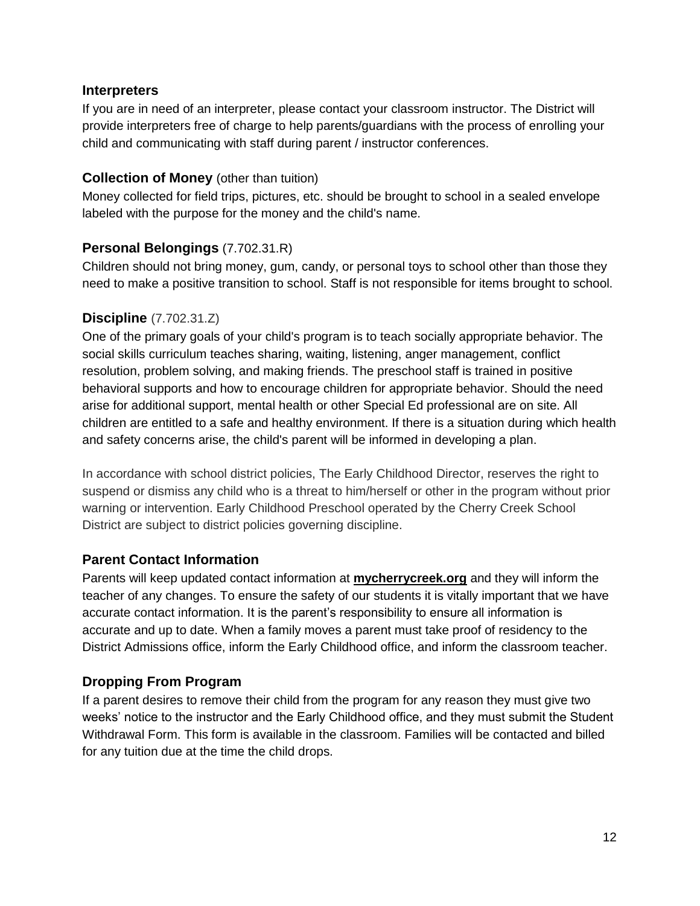#### **Interpreters**

If you are in need of an interpreter, please contact your classroom instructor. The District will provide interpreters free of charge to help parents/guardians with the process of enrolling your child and communicating with staff during parent / instructor conferences.

#### **Collection of Money** (other than tuition)

Money collected for field trips, pictures, etc. should be brought to school in a sealed envelope labeled with the purpose for the money and the child's name.

#### **Personal Belongings** (7.702.31.R)

Children should not bring money, gum, candy, or personal toys to school other than those they need to make a positive transition to school. Staff is not responsible for items brought to school.

#### **Discipline** (7.702.31.Z)

One of the primary goals of your child's program is to teach socially appropriate behavior. The social skills curriculum teaches sharing, waiting, listening, anger management, conflict resolution, problem solving, and making friends. The preschool staff is trained in positive behavioral supports and how to encourage children for appropriate behavior. Should the need arise for additional support, mental health or other Special Ed professional are on site. All children are entitled to a safe and healthy environment. If there is a situation during which health and safety concerns arise, the child's parent will be informed in developing a plan.

In accordance with school district policies, The Early Childhood Director, reserves the right to suspend or dismiss any child who is a threat to him/herself or other in the program without prior warning or intervention. Early Childhood Preschool operated by the Cherry Creek School District are subject to district policies governing discipline.

## **Parent Contact Information**

Parents will keep updated contact information at **mycherrycreek.org** and they will inform the teacher of any changes. To ensure the safety of our students it is vitally important that we have accurate contact information. It is the parent's responsibility to ensure all information is accurate and up to date. When a family moves a parent must take proof of residency to the District Admissions office, inform the Early Childhood office, and inform the classroom teacher.

## **Dropping From Program**

If a parent desires to remove their child from the program for any reason they must give two weeks' notice to the instructor and the Early Childhood office, and they must submit the Student Withdrawal Form. This form is available in the classroom. Families will be contacted and billed for any tuition due at the time the child drops.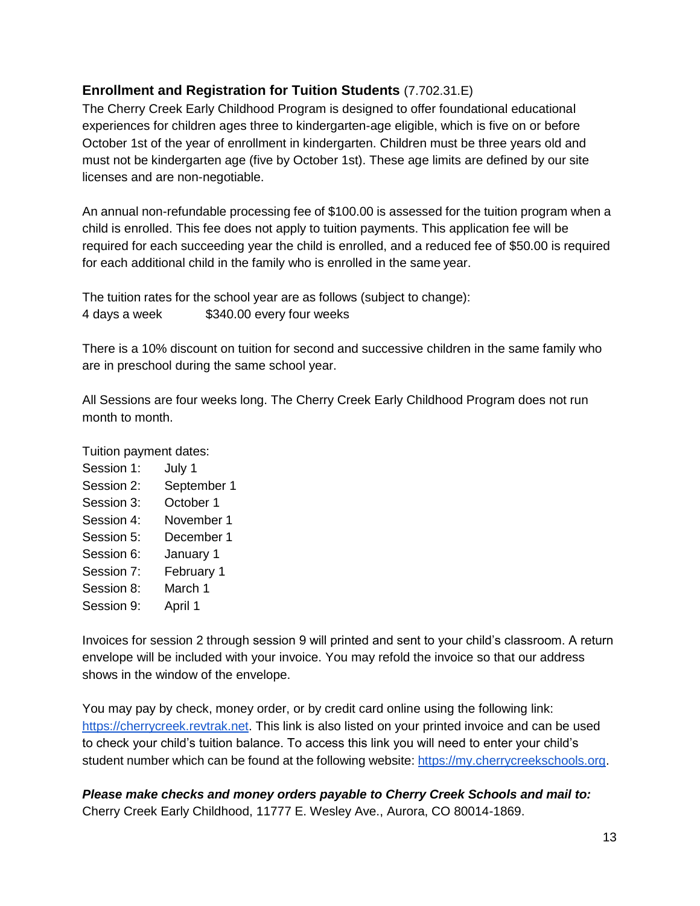#### **Enrollment and Registration for Tuition Students** (7.702.31.E)

The Cherry Creek Early Childhood Program is designed to offer foundational educational experiences for children ages three to kindergarten-age eligible, which is five on or before October 1st of the year of enrollment in kindergarten. Children must be three years old and must not be kindergarten age (five by October 1st). These age limits are defined by our site licenses and are non-negotiable.

An annual non-refundable processing fee of \$100.00 is assessed for the tuition program when a child is enrolled. This fee does not apply to tuition payments. This application fee will be required for each succeeding year the child is enrolled, and a reduced fee of \$50.00 is required for each additional child in the family who is enrolled in the same year.

The tuition rates for the school year are as follows (subject to change): 4 days a week \$340.00 every four weeks

There is a 10% discount on tuition for second and successive children in the same family who are in preschool during the same school year.

All Sessions are four weeks long. The Cherry Creek Early Childhood Program does not run month to month.

Tuition payment dates:

- Session 1: July 1
- Session 2: September 1
- Session 3: October 1
- Session 4: November 1
- Session 5: December 1
- Session 6: January 1
- Session 7: February 1
- Session 8: March 1
- Session 9: April 1

Invoices for session 2 through session 9 will printed and sent to your child's classroom. A return envelope will be included with your invoice. You may refold the invoice so that our address shows in the window of the envelope.

You may pay by check, money order, or by credit card online using the following link: [https://cherrycreek.revtrak.net.](https://cherrycreek.revtrak.net/) This link is also listed on your printed invoice and can be used to check your child's tuition balance. To access this link you will need to enter your child's student number which can be found at the following website: [https://my.cherrycreekschools.org.](https://my.cherrycreekschools.org/)

*Please make checks and money orders payable to Cherry Creek Schools and mail to:* Cherry Creek Early Childhood, 11777 E. Wesley Ave., Aurora, CO 80014-1869.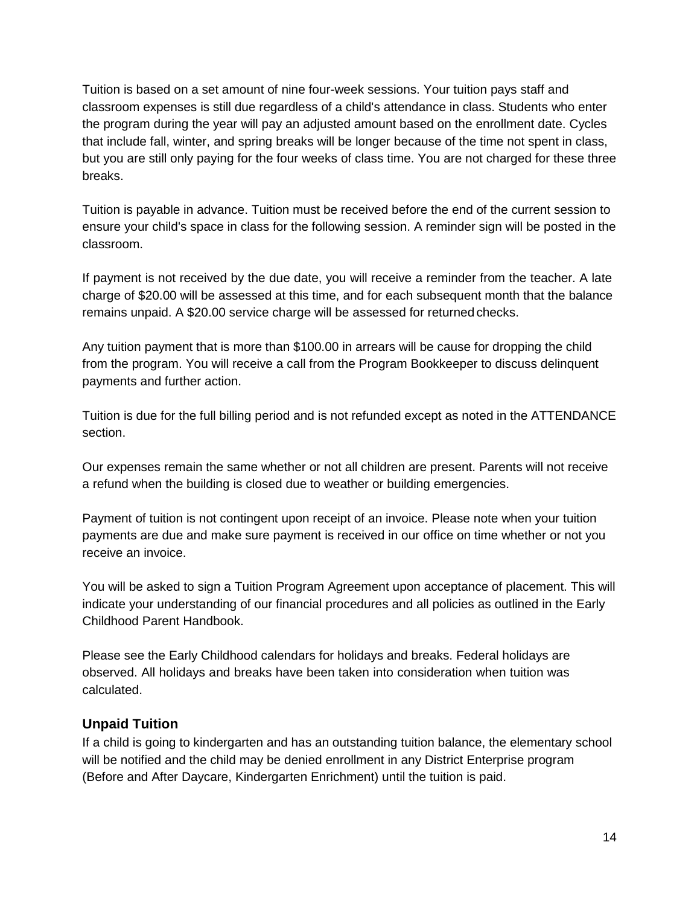Tuition is based on a set amount of nine four-week sessions. Your tuition pays staff and classroom expenses is still due regardless of a child's attendance in class. Students who enter the program during the year will pay an adjusted amount based on the enrollment date. Cycles that include fall, winter, and spring breaks will be longer because of the time not spent in class, but you are still only paying for the four weeks of class time. You are not charged for these three breaks.

Tuition is payable in advance. Tuition must be received before the end of the current session to ensure your child's space in class for the following session. A reminder sign will be posted in the classroom.

If payment is not received by the due date, you will receive a reminder from the teacher. A late charge of \$20.00 will be assessed at this time, and for each subsequent month that the balance remains unpaid. A \$20.00 service charge will be assessed for returned checks.

Any tuition payment that is more than \$100.00 in arrears will be cause for dropping the child from the program. You will receive a call from the Program Bookkeeper to discuss delinquent payments and further action.

Tuition is due for the full billing period and is not refunded except as noted in the ATTENDANCE section.

Our expenses remain the same whether or not all children are present. Parents will not receive a refund when the building is closed due to weather or building emergencies.

Payment of tuition is not contingent upon receipt of an invoice. Please note when your tuition payments are due and make sure payment is received in our office on time whether or not you receive an invoice.

You will be asked to sign a Tuition Program Agreement upon acceptance of placement. This will indicate your understanding of our financial procedures and all policies as outlined in the Early Childhood Parent Handbook.

Please see the Early Childhood calendars for holidays and breaks. Federal holidays are observed. All holidays and breaks have been taken into consideration when tuition was calculated.

#### **Unpaid Tuition**

If a child is going to kindergarten and has an outstanding tuition balance, the elementary school will be notified and the child may be denied enrollment in any District Enterprise program (Before and After Daycare, Kindergarten Enrichment) until the tuition is paid.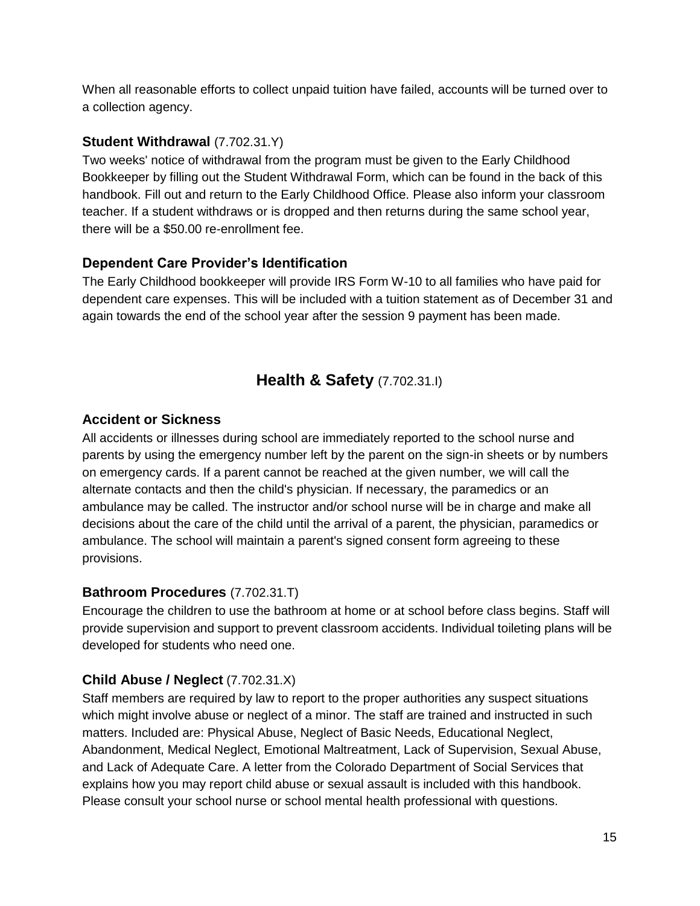When all reasonable efforts to collect unpaid tuition have failed, accounts will be turned over to a collection agency.

## **Student Withdrawal** (7.702.31.Y)

Two weeks' notice of withdrawal from the program must be given to the Early Childhood Bookkeeper by filling out the Student Withdrawal Form, which can be found in the back of this handbook. Fill out and return to the Early Childhood Office. Please also inform your classroom teacher. If a student withdraws or is dropped and then returns during the same school year, there will be a \$50.00 re-enrollment fee.

## **Dependent Care Provider's Identification**

The Early Childhood bookkeeper will provide IRS Form W-10 to all families who have paid for dependent care expenses. This will be included with a tuition statement as of December 31 and again towards the end of the school year after the session 9 payment has been made.

## **Health & Safety** (7.702.31.I)

## **Accident or Sickness**

All accidents or illnesses during school are immediately reported to the school nurse and parents by using the emergency number left by the parent on the sign-in sheets or by numbers on emergency cards. If a parent cannot be reached at the given number, we will call the alternate contacts and then the child's physician. If necessary, the paramedics or an ambulance may be called. The instructor and/or school nurse will be in charge and make all decisions about the care of the child until the arrival of a parent, the physician, paramedics or ambulance. The school will maintain a parent's signed consent form agreeing to these provisions.

## **Bathroom Procedures** (7.702.31.T)

Encourage the children to use the bathroom at home or at school before class begins. Staff will provide supervision and support to prevent classroom accidents. Individual toileting plans will be developed for students who need one.

## **Child Abuse / Neglect** (7.702.31.X)

Staff members are required by law to report to the proper authorities any suspect situations which might involve abuse or neglect of a minor. The staff are trained and instructed in such matters. Included are: Physical Abuse, Neglect of Basic Needs, Educational Neglect, Abandonment, Medical Neglect, Emotional Maltreatment, Lack of Supervision, Sexual Abuse, and Lack of Adequate Care. A letter from the Colorado Department of Social Services that explains how you may report child abuse or sexual assault is included with this handbook. Please consult your school nurse or school mental health professional with questions.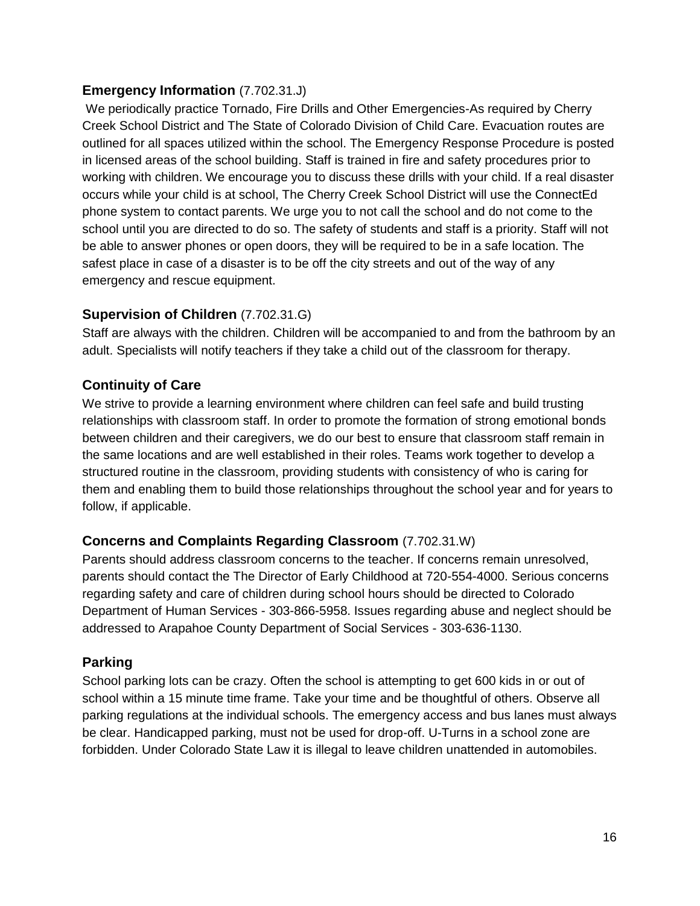#### **Emergency Information** (7.702.31.J)

We periodically practice Tornado, Fire Drills and Other Emergencies-As required by Cherry Creek School District and The State of Colorado Division of Child Care. Evacuation routes are outlined for all spaces utilized within the school. The Emergency Response Procedure is posted in licensed areas of the school building. Staff is trained in fire and safety procedures prior to working with children. We encourage you to discuss these drills with your child. If a real disaster occurs while your child is at school, The Cherry Creek School District will use the ConnectEd phone system to contact parents. We urge you to not call the school and do not come to the school until you are directed to do so. The safety of students and staff is a priority. Staff will not be able to answer phones or open doors, they will be required to be in a safe location. The safest place in case of a disaster is to be off the city streets and out of the way of any emergency and rescue equipment.

## **Supervision of Children** (7.702.31.G)

Staff are always with the children. Children will be accompanied to and from the bathroom by an adult. Specialists will notify teachers if they take a child out of the classroom for therapy.

## **Continuity of Care**

We strive to provide a learning environment where children can feel safe and build trusting relationships with classroom staff. In order to promote the formation of strong emotional bonds between children and their caregivers, we do our best to ensure that classroom staff remain in the same locations and are well established in their roles. Teams work together to develop a structured routine in the classroom, providing students with consistency of who is caring for them and enabling them to build those relationships throughout the school year and for years to follow, if applicable.

## **Concerns and Complaints Regarding Classroom** (7.702.31.W)

Parents should address classroom concerns to the teacher. If concerns remain unresolved, parents should contact the The Director of Early Childhood at 720-554-4000. Serious concerns regarding safety and care of children during school hours should be directed to Colorado Department of Human Services - 303-866-5958. Issues regarding abuse and neglect should be addressed to Arapahoe County Department of Social Services - 303-636-1130.

## **Parking**

School parking lots can be crazy. Often the school is attempting to get 600 kids in or out of school within a 15 minute time frame. Take your time and be thoughtful of others. Observe all parking regulations at the individual schools. The emergency access and bus lanes must always be clear. Handicapped parking, must not be used for drop-off. U-Turns in a school zone are forbidden. Under Colorado State Law it is illegal to leave children unattended in automobiles.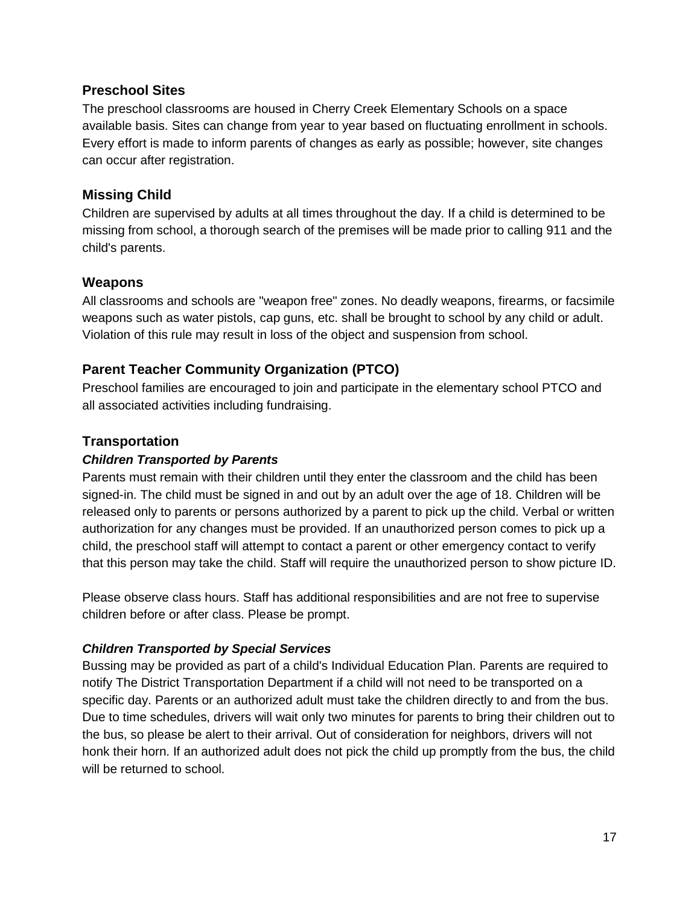#### **Preschool Sites**

The preschool classrooms are housed in Cherry Creek Elementary Schools on a space available basis. Sites can change from year to year based on fluctuating enrollment in schools. Every effort is made to inform parents of changes as early as possible; however, site changes can occur after registration.

## **Missing Child**

Children are supervised by adults at all times throughout the day. If a child is determined to be missing from school, a thorough search of the premises will be made prior to calling 911 and the child's parents.

#### **Weapons**

All classrooms and schools are "weapon free" zones. No deadly weapons, firearms, or facsimile weapons such as water pistols, cap guns, etc. shall be brought to school by any child or adult. Violation of this rule may result in loss of the object and suspension from school.

## **Parent Teacher Community Organization (PTCO)**

Preschool families are encouraged to join and participate in the elementary school PTCO and all associated activities including fundraising.

#### **Transportation**

#### *Children Transported by Parents*

Parents must remain with their children until they enter the classroom and the child has been signed-in. The child must be signed in and out by an adult over the age of 18. Children will be released only to parents or persons authorized by a parent to pick up the child. Verbal or written authorization for any changes must be provided. If an unauthorized person comes to pick up a child, the preschool staff will attempt to contact a parent or other emergency contact to verify that this person may take the child. Staff will require the unauthorized person to show picture ID.

Please observe class hours. Staff has additional responsibilities and are not free to supervise children before or after class. Please be prompt.

#### *Children Transported by Special Services*

Bussing may be provided as part of a child's Individual Education Plan. Parents are required to notify The District Transportation Department if a child will not need to be transported on a specific day. Parents or an authorized adult must take the children directly to and from the bus. Due to time schedules, drivers will wait only two minutes for parents to bring their children out to the bus, so please be alert to their arrival. Out of consideration for neighbors, drivers will not honk their horn. If an authorized adult does not pick the child up promptly from the bus, the child will be returned to school.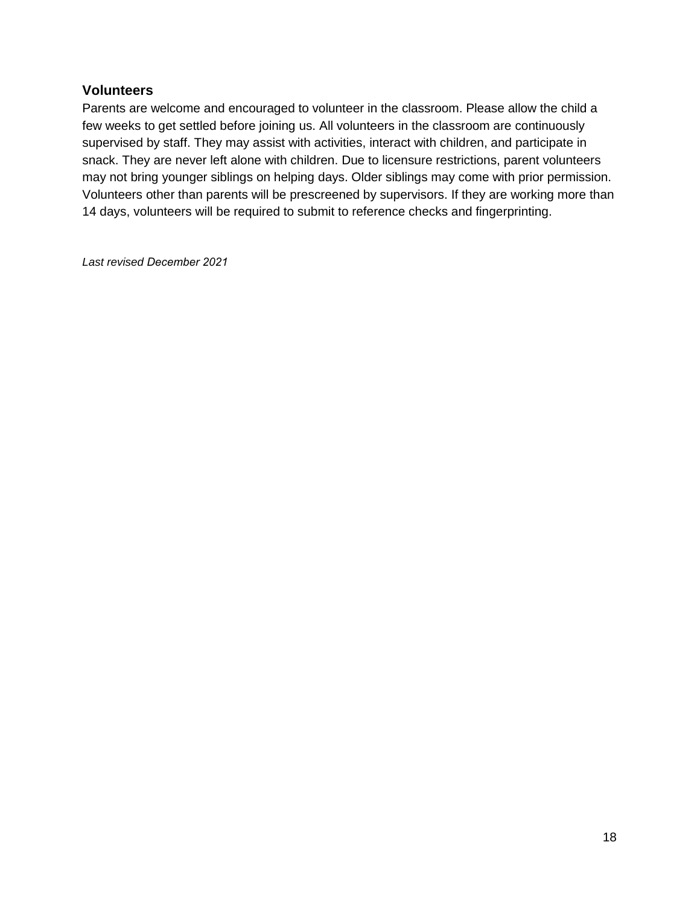#### **Volunteers**

Parents are welcome and encouraged to volunteer in the classroom. Please allow the child a few weeks to get settled before joining us. All volunteers in the classroom are continuously supervised by staff. They may assist with activities, interact with children, and participate in snack. They are never left alone with children. Due to licensure restrictions, parent volunteers may not bring younger siblings on helping days. Older siblings may come with prior permission. Volunteers other than parents will be prescreened by supervisors. If they are working more than 14 days, volunteers will be required to submit to reference checks and fingerprinting.

*Last revised December 2021*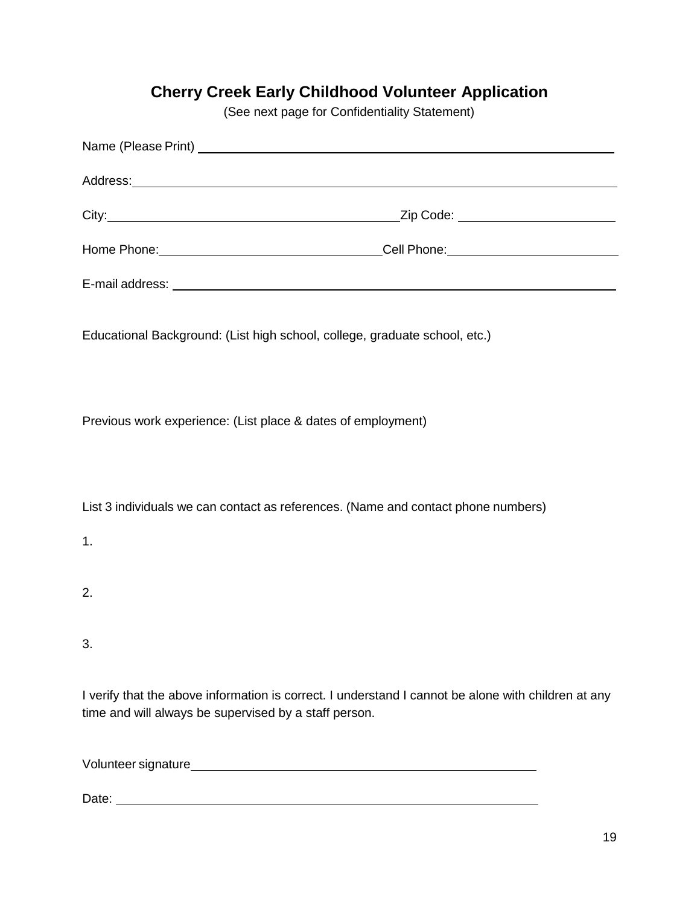# **Cherry Creek Early Childhood Volunteer Application**

(See next page for Confidentiality Statement)

|                                                                            | Address: <u>Address:</u> Address: Address: Address: Address: Address: Address: Address: Address: Address: Address: Address: Address: Address: Address: Address: Address: Address: Address: Address: Address: Address: Address: Addr |
|----------------------------------------------------------------------------|-------------------------------------------------------------------------------------------------------------------------------------------------------------------------------------------------------------------------------------|
|                                                                            |                                                                                                                                                                                                                                     |
|                                                                            |                                                                                                                                                                                                                                     |
|                                                                            | E-mail address: <u>experience</u> and a series of the series of the series of the series of the series of the series of the series of the series of the series of the series of the series of the series of the series of the serie |
| Educational Background: (List high school, college, graduate school, etc.) |                                                                                                                                                                                                                                     |
| Previous work experience: (List place & dates of employment)               |                                                                                                                                                                                                                                     |
| 1.                                                                         | List 3 individuals we can contact as references. (Name and contact phone numbers)                                                                                                                                                   |
| 2.                                                                         |                                                                                                                                                                                                                                     |
| 3.                                                                         |                                                                                                                                                                                                                                     |
| time and will always be supervised by a staff person.                      | I verify that the above information is correct. I understand I cannot be alone with children at any                                                                                                                                 |
|                                                                            |                                                                                                                                                                                                                                     |

Date: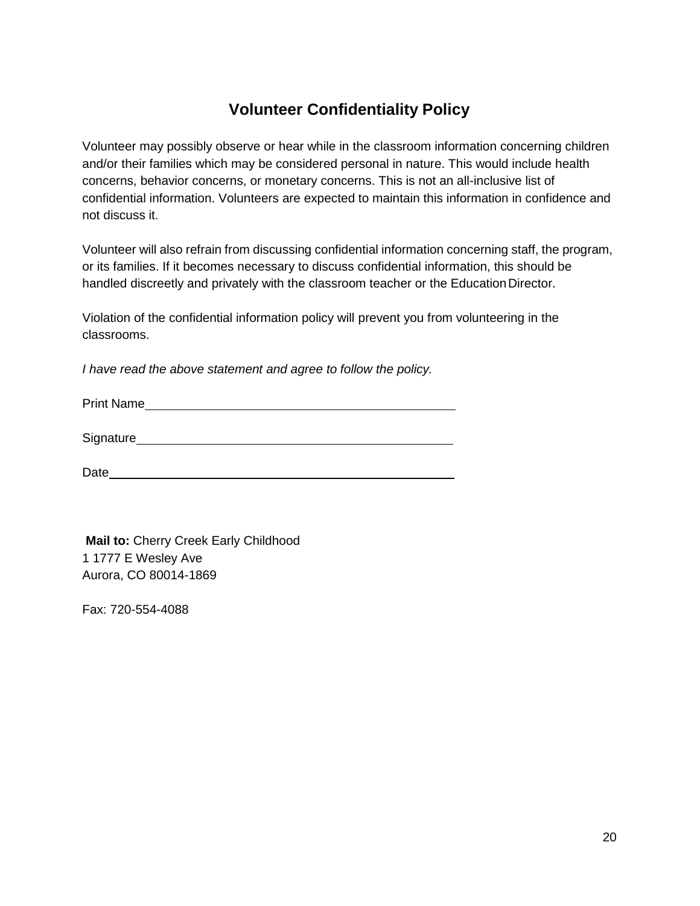# **Volunteer Confidentiality Policy**

Volunteer may possibly observe or hear while in the classroom information concerning children and/or their families which may be considered personal in nature. This would include health concerns, behavior concerns, or monetary concerns. This is not an all-inclusive list of confidential information. Volunteers are expected to maintain this information in confidence and not discuss it.

Volunteer will also refrain from discussing confidential information concerning staff, the program, or its families. If it becomes necessary to discuss confidential information, this should be handled discreetly and privately with the classroom teacher or the Education Director.

Violation of the confidential information policy will prevent you from volunteering in the classrooms.

*I have read the above statement and agree to follow the policy.*

Print Name

Signature

Date

**Mail to:** Cherry Creek Early Childhood 1 1777 E Wesley Ave Aurora, CO 80014-1869

Fax: 720-554-4088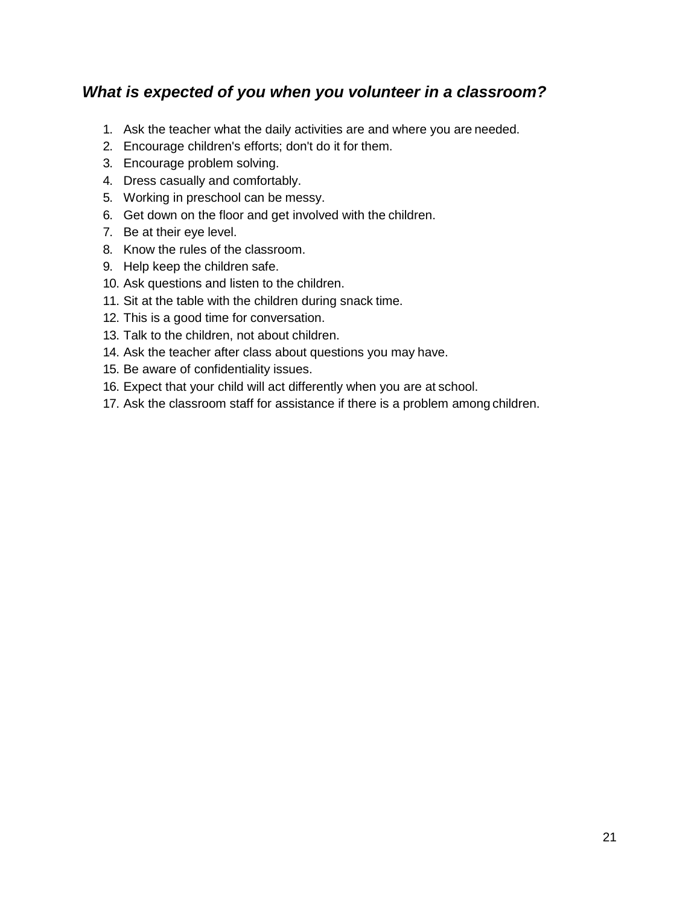## *What is expected of you when you volunteer in a classroom?*

- 1. Ask the teacher what the daily activities are and where you are needed.
- 2. Encourage children's efforts; don't do it for them.
- 3. Encourage problem solving.
- 4. Dress casually and comfortably.
- 5. Working in preschool can be messy.
- 6. Get down on the floor and get involved with the children.
- 7. Be at their eye level.
- 8. Know the rules of the classroom.
- 9. Help keep the children safe.
- 10. Ask questions and listen to the children.
- 11. Sit at the table with the children during snack time.
- 12. This is a good time for conversation.
- 13. Talk to the children, not about children.
- 14. Ask the teacher after class about questions you may have.
- 15. Be aware of confidentiality issues.
- 16. Expect that your child will act differently when you are at school.
- 17. Ask the classroom staff for assistance if there is a problem among children.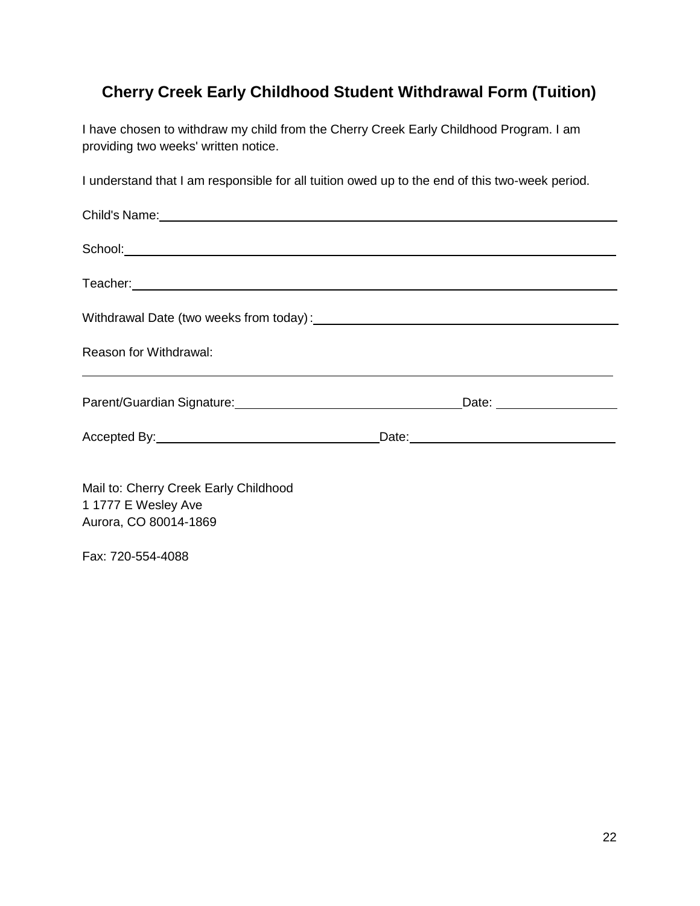# **Cherry Creek Early Childhood Student Withdrawal Form (Tuition)**

I have chosen to withdraw my child from the Cherry Creek Early Childhood Program. I am providing two weeks' written notice.

I understand that I am responsible for all tuition owed up to the end of this two-week period.

| Child's Name: <u>with the community of the community of the community of the community of the community of the community of the community of the community of the community of the community of the community of the community o</u> |                         |
|--------------------------------------------------------------------------------------------------------------------------------------------------------------------------------------------------------------------------------------|-------------------------|
|                                                                                                                                                                                                                                      |                         |
| Teacher: <u>www.community.community.community.com</u>                                                                                                                                                                                |                         |
| Withdrawal Date (two weeks from today):<br>Mithdrawal Date (two weeks from today):<br>Mithdrawal Date (two weeks from today):                                                                                                        |                         |
| Reason for Withdrawal:                                                                                                                                                                                                               |                         |
| Parent/Guardian Signature: Management Control of Parent/Guardian Signature:                                                                                                                                                          | Date: <u>University</u> |
| Accepted By: <u>New York: Date:</u> Date: Date:                                                                                                                                                                                      |                         |
| Mail to: Cherry Creek Early Childhood<br>1 1777 E Wesley Ave                                                                                                                                                                         |                         |

Aurora, CO 80014-1869

Fax: 720-554-4088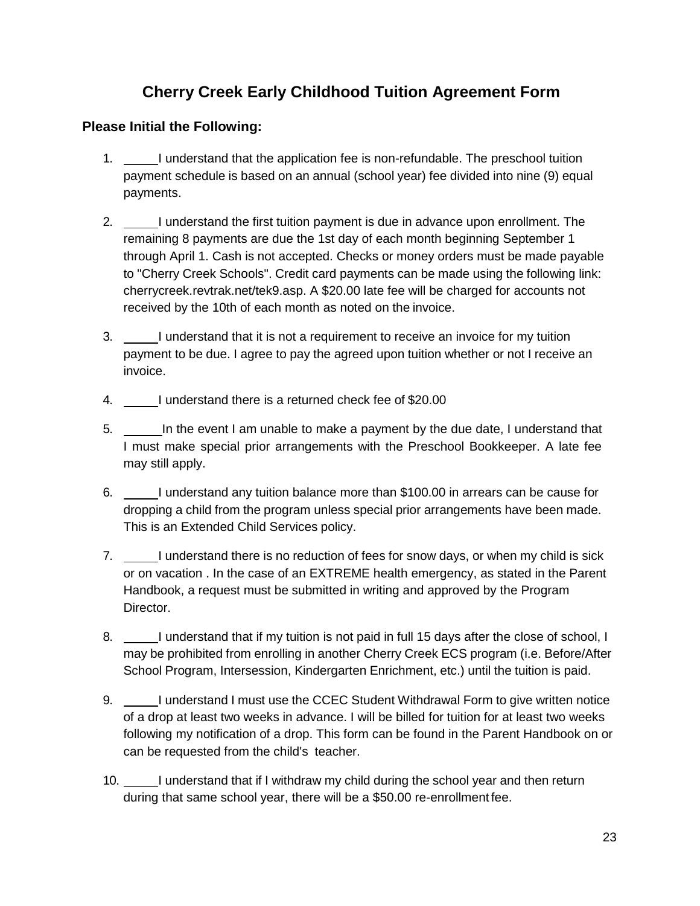# **Cherry Creek Early Childhood Tuition Agreement Form**

#### **Please Initial the Following:**

- 1. I understand that the application fee is non-refundable. The preschool tuition payment schedule is based on an annual (school year) fee divided into nine (9) equal payments.
- 2. I understand the first tuition payment is due in advance upon enrollment. The remaining 8 payments are due the 1st day of each month beginning September 1 through April 1. Cash is not accepted. Checks or money orders must be made payable to "Cherry Creek Schools". Credit card payments can be made using the following link: cherrycreek.revtrak.net/tek9.asp. A \$20.00 late fee will be charged for accounts not received by the 10th of each month as noted on the invoice.
- 3. I understand that it is not a requirement to receive an invoice for my tuition payment to be due. I agree to pay the agreed upon tuition whether or not I receive an invoice.
- 4. I understand there is a returned check fee of \$20.00
- 5. In the event I am unable to make a payment by the due date, I understand that I must make special prior arrangements with the Preschool Bookkeeper. A late fee may still apply.
- 6. I understand any tuition balance more than \$100.00 in arrears can be cause for dropping a child from the program unless special prior arrangements have been made. This is an Extended Child Services policy.
- 7. I understand there is no reduction of fees for snow days, or when my child is sick or on vacation . In the case of an EXTREME health emergency, as stated in the Parent Handbook, a request must be submitted in writing and approved by the Program Director.
- 8. I understand that if my tuition is not paid in full 15 days after the close of school, I may be prohibited from enrolling in another Cherry Creek ECS program (i.e. Before/After School Program, Intersession, Kindergarten Enrichment, etc.) until the tuition is paid.
- 9. I understand I must use the CCEC Student Withdrawal Form to give written notice of a drop at least two weeks in advance. I will be billed for tuition for at least two weeks following my notification of a drop. This form can be found in the Parent Handbook on or can be requested from the child's teacher.
- 10. I understand that if I withdraw my child during the school year and then return during that same school year, there will be a \$50.00 re-enrollment fee.